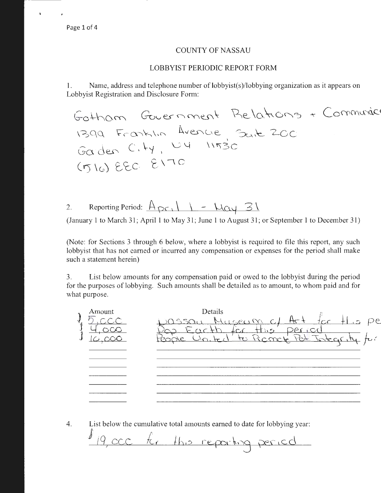$\ddot{\phantom{a}}$ 

### COUNTY OF NASSAU

### LOBBYIST PERIODIC REPORT FORM

1. Name, address and telephone number of lobbyist(s)/lobbying organization as it appears on Lobbyist Registration and Disclosure Form:

Gotham Government Relations + Communic  $1399$  Franklin Garden C. Hy,  $(510)$  eec  $8170$ 

2. Reporting Period:  $\frac{A_{\mathcal{PC}}}{\frac{A_{\mathcal{PC}}}{\frac{A_{\mathcal{PC}}}{\frac{A_{\mathcal{PC}}}{\frac{A_{\mathcal{PC}}}{\frac{A_{\mathcal{PC}}}{\frac{A_{\mathcal{PC}}}{\frac{A_{\mathcal{PC}}}{\frac{A_{\mathcal{PC}}}{\frac{A_{\mathcal{PC}}}{\frac{A_{\mathcal{PC}}}{\frac{A_{\mathcal{PC}}}{\frac{A_{\mathcal{PC}}}{\frac{A_{\mathcal{PC}}}{\frac{A_{\mathcal{PC}}}{\frac{A_{\mathcal{PC}}}{\frac{A_{\math$ 

(January 1 to March 31; April 1 to May 31; June 1 to August 31; or September 1 to December 31)

(Note: for Sections 3 through 6 below, where a lobbyist is required to file this report, any such lobbyist that has not earned or incurred any compensation or expenses for the period shall make such a statement herein)

3. List below amounts for any compensation paid or owed to the lobbyist during the period for the purposes of lobbying. Such amounts shall be detailed as to amount, to whom paid and for what purpose.

| Amount | Details |                                                        |
|--------|---------|--------------------------------------------------------|
|        |         | pe                                                     |
|        |         |                                                        |
|        |         |                                                        |
|        |         |                                                        |
|        |         |                                                        |
|        |         |                                                        |
|        |         |                                                        |
|        |         |                                                        |
|        |         |                                                        |
|        |         |                                                        |
|        |         | assan Mi<br>$H_{\mu,5}$<br>1cc<br>oth for this' period |

4. List below the cumulative total amounts earned to date for lobbying year:

 $J_{19,occ}$   $f_{cr}$  this reparting period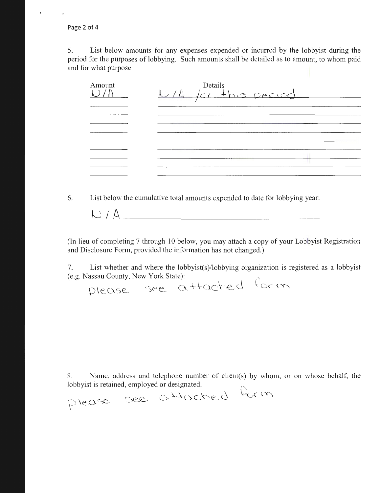Page 2 of 4

 $\ddot{\phantom{a}}$ 

5. List below amounts for any expenses expended or incurred by the lobbyist during the period for the purposes of lobbying. Such amounts shall be detailed as to amount, to whom paid and for what purpose.

| Amount | Details<br>U/A for this period |
|--------|--------------------------------|
|        |                                |
|        |                                |
|        |                                |
|        |                                |
|        |                                |
|        |                                |
|        |                                |
|        |                                |
|        |                                |

6. List below the cumulative total amounts expended to date for lobbying year:

 $\bigcup f A$ 

(In lieu of completing 7 through 10 below, you may attach a copy of your Lo<sub>bb</sub> yist Registration and Disclosure Form, provided the information has not changed.)

7. List whether and where the lobbyist(s)/lobbying organization is registered as a lobbyist (e.g. Nassau County, New York State):

please see attached form

8. Name, address and telephone number of client(s) by whom, or on whose behalf, the lobbyist is retained, employed or designated.

please see attached form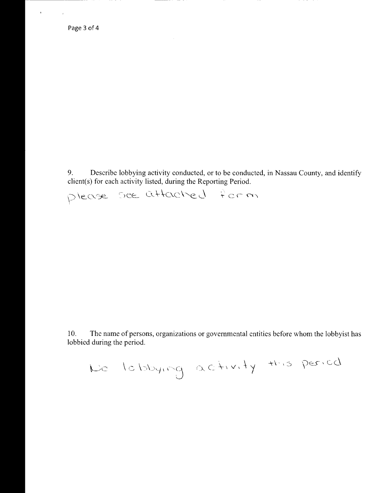$\mathbf{r}^{\prime}$ 

 $\mathbf{r}$  .

9. Describe lobbying activity conducted, or to be conducted, in Nassau County, and identify client(s) for each activity listed, during the Reporting Period.

please see attached form

10. The name of persons, organizations or governmental entities before whom the lobbyist has lobbied during the period.

Uo \ o bo'-1, \'\5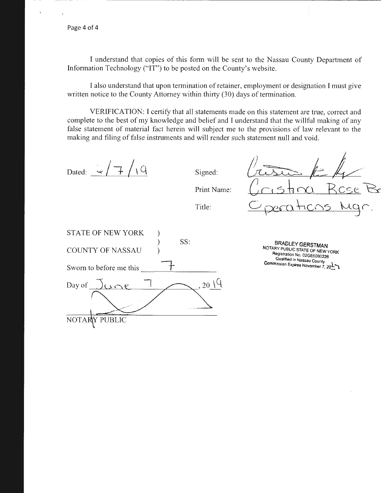I understand that copies of this form will be sent to the Nassau County Department of Information Technology ("IT") to be posted on the County's website.

I also understand that upon termination of retainer, employment or designation I must give written notice to the County Attorney within thirty (30) days of termination.

VERIFICATION: I certify that all statements made on this statement are true, correct and complete to the best of my knowledge and belief and I understand that the willful making of any false statement of material fact herein will subject me to the provisions of law relevant to the making and filing of false instruments and will render such statement null and void.

Dated:  $\frac{1}{2}$   $\sqrt{7}/\sqrt{9}$  Signed: Print Name: Title: STATE OF NEW YORK ) ) SS: COUNTY OF NASSAU ) Sworn to before me this  $2019$ Day of  $\lambda$   $\bigcap$ NOTARY PUBLIC

BRADLEY **GERSTMAN**  NOTARY PUBLIC STATE OF NEW YORK Registration No. 02GE6080226<br>Qualified in Nassau County Qualified in Nassau County . Commission Expires November  $\frac{1}{2}$ ,  $\frac{1}{20}$ 

 $\sqrt{2\pi k}k$ 

 $O$  perations Mgr.

<u>stina Rose</u> Ba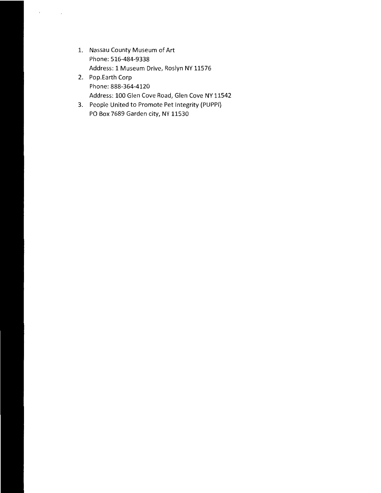1. Nassau County Museum of Art Phone: 516-484-9338 Address: 1 Museum Drive, Roslyn NY 11576

 $\ell = 1, \ldots, 1$ 

- 2. Pop.Earth Corp Phone: 888-364-4120 Address: 100 Glen Cove Road, Glen Cove NY 11542
- 3. People United to Promote Pet Integrity {PUPPI) PO Box 7689 Garden city, NY 11530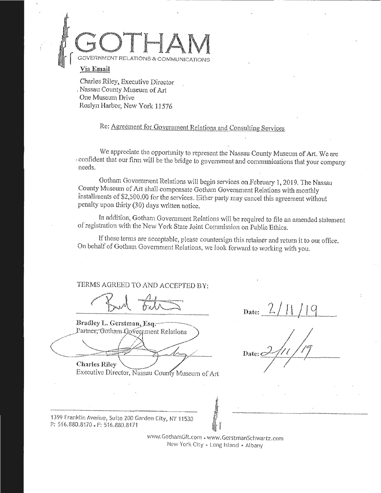

**Via Email** 

Charles Riley, Executive Director , Nassau County Museum of Art -One Museum Drive Roslyn Harbor, New York 11576

Re: Agreement for Government Relations and Consulting Services.

We appreciate the opportunity to represent the Nassau County Museum of Art. We are *:* confident that our firm will be the bridge to government and communications that your company needs ..

Gotham Govemment Relations will begin services on February 1, 2019. The Nassau County Museum of Att shall compensate Gotham Government Relations with monthly installments of \$2,500.00 for the services. Either party may cancel this agreement without penalty upon thirty (30) days written notice.

In addition, Gotham Government Relations will be required to file an amended statement of registration with the New York State Joint Commission on Public Ethics.

If these terms are acceptable, please countersign this retainer and return it to our office. On behalf of Gotham. Government Relations, we look forward to working with you.

TERMS AGREED TO AND ACCEPTED BY:

Bradley L. Gerstman, Esq. Partner, Gotham Government Relations

**Charles Riley** 

Executive Director, Nassau County Museum of Art

 $_{\text{Date:}}$  2/11/19

'1399 franklin Averiue, Suite ZOO Garden City, NY 1153.0 P.: 516.880.8170 . F: 516.880.8171

> wwvy.GothamGR.com . www.GcrstrnanSchwartz.com New York City « Long Island » Albany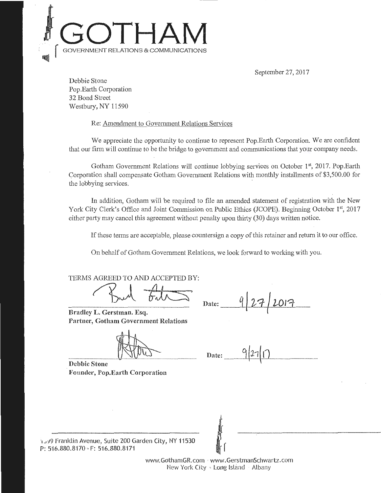## **.}GOTHAM**  ATIONS & COMMUNICATIONS •qlll .

September 27, 2017

Debbie Stone Pop.Earth Corporation 32 Bond Street Westbury, NY 11590

Re: Amendment to Government Relations Services

We appreciate the opportunity to continue to represent Pop.Earth Corporation. We are confident that our firm will continue to be the bridge to government and communications that your company needs.

Gotham Government Relations will continue lobbying services on October 1<sup>st</sup>, 2017. Pop.Earth Corporation shall compensate Gotham Government Relations with monthly installments of \$3,500.00 for the lobbying services.

In addition, Gotham will be required to file an amended statement of registration with the New York City Clerk's Office and Joint Commission on Public Ethics (JCOPE). Beginning October 1st, 2017 either party may cancel this agreement without penalty upon thirty (30) days written notice.

If these terms are acceptable, please countersign a copy of this retainer and return it to our office.

On behalf of Gotham Government Relations, we look forward to working with you.

TERMS AGREED TO AND ACCEPTED BY:<br>
Pullet Bate:

Bradley L. Gerstman. Esq. Partner, Gotham Government Relations

Date:  $\frac{q}{27}$  2017

 $\text{Date:}$  9/27/17

Debbie Stone Founder, Pop.Earth Corporation

1 - 19 Franklin Avenue, Suite 200 Garden City, NY 11530 P: 516.880.8170 · F: 516.880.8171

> www.GothamGR.com · www.GerstmanSchwartz.com New York City . Long Island Albany